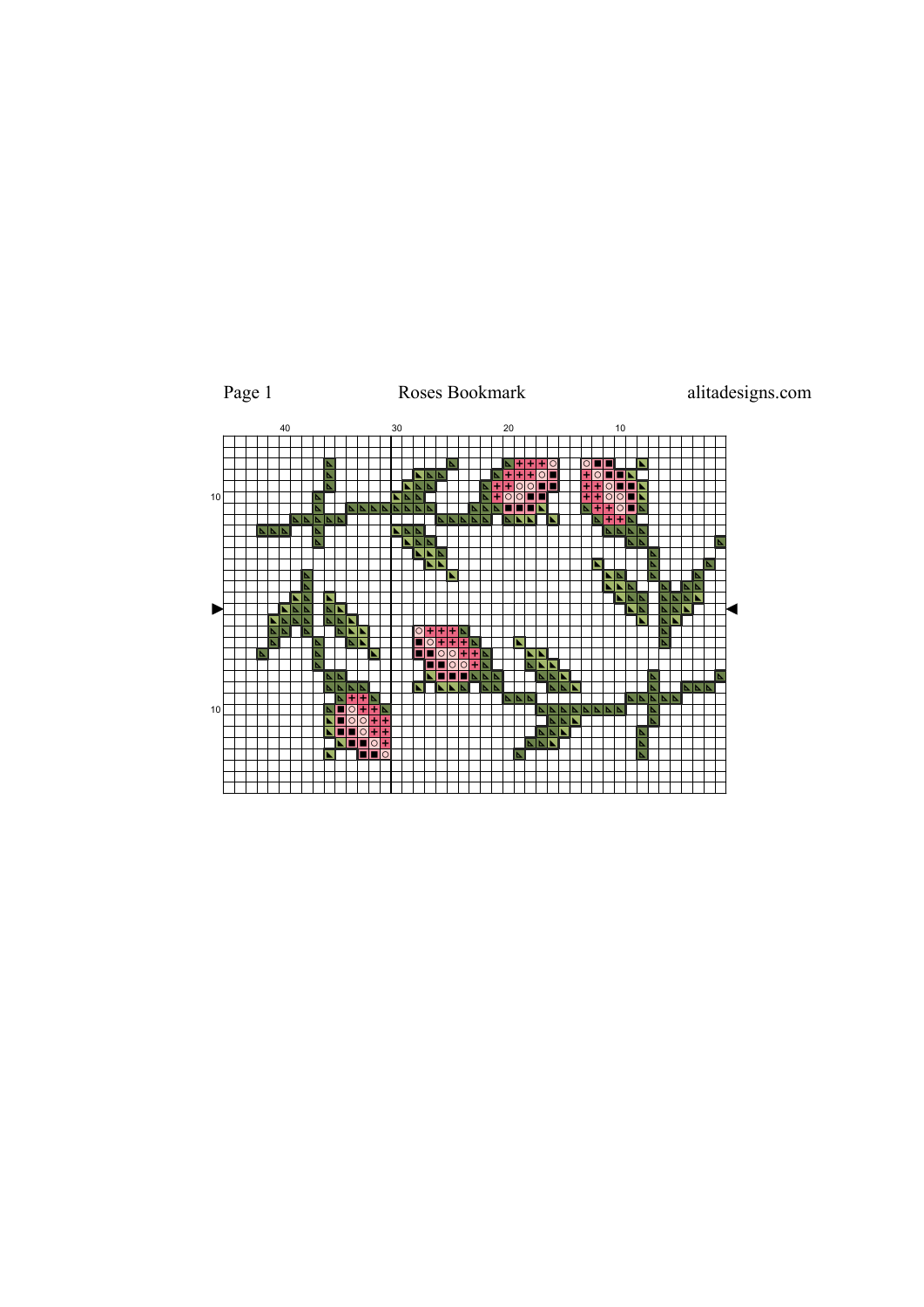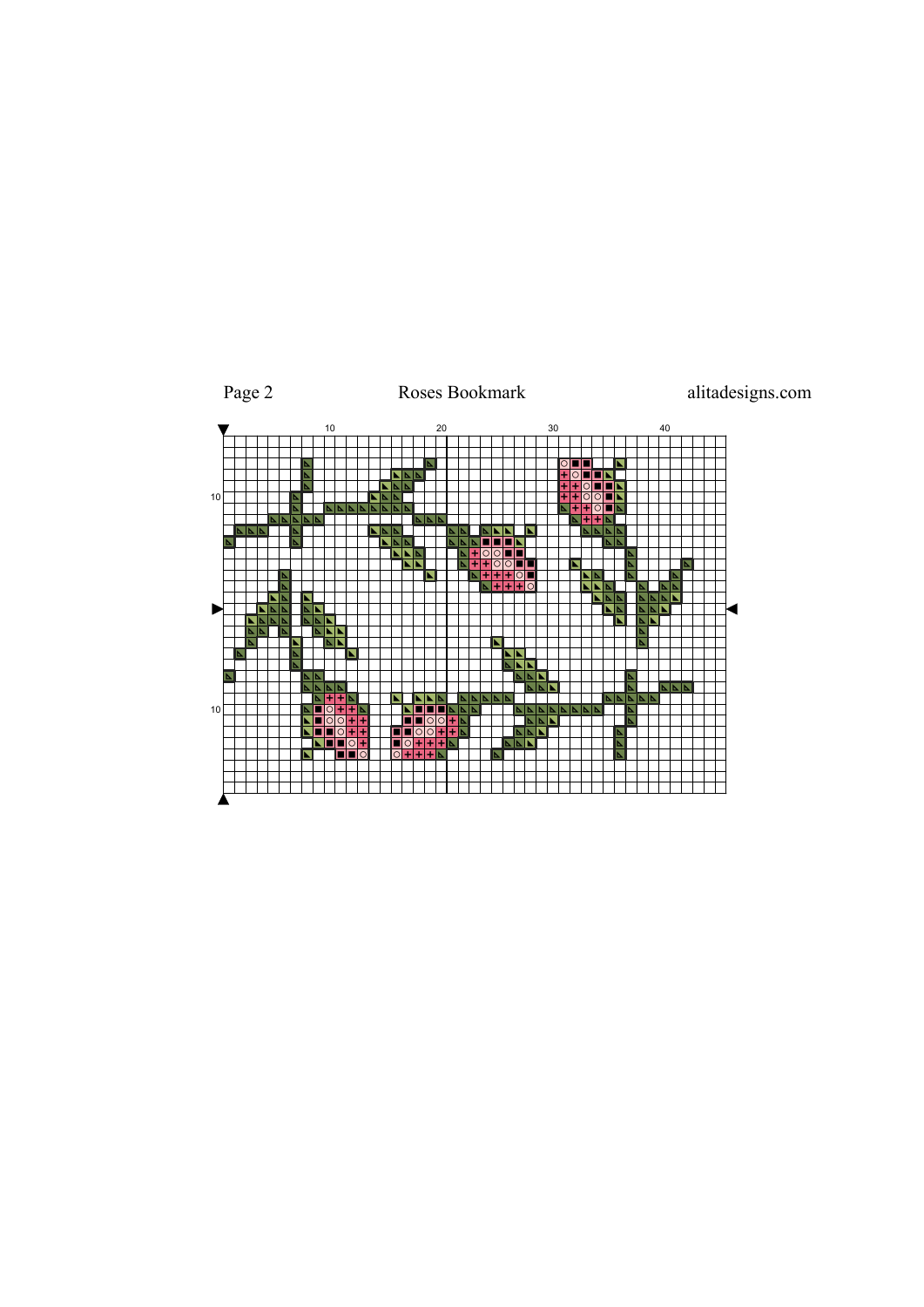